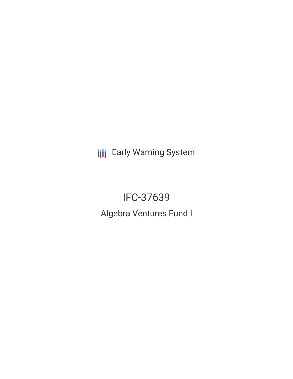**III** Early Warning System

# IFC-37639 Algebra Ventures Fund I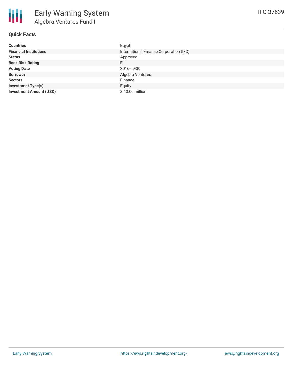

# **Quick Facts**

| <b>Countries</b>               | Egypt                                   |
|--------------------------------|-----------------------------------------|
| <b>Financial Institutions</b>  | International Finance Corporation (IFC) |
| <b>Status</b>                  | Approved                                |
| <b>Bank Risk Rating</b>        | FI.                                     |
| <b>Voting Date</b>             | 2016-09-30                              |
| <b>Borrower</b>                | Algebra Ventures                        |
| <b>Sectors</b>                 | Finance                                 |
| <b>Investment Type(s)</b>      | Equity                                  |
| <b>Investment Amount (USD)</b> | \$10.00 million                         |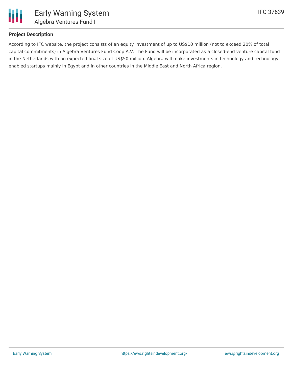

### **Project Description**

According to IFC website, the project consists of an equity investment of up to US\$10 million (not to exceed 20% of total capital commitments) in Algebra Ventures Fund Coop A.V. The Fund will be incorporated as a closed-end venture capital fund in the Netherlands with an expected final size of US\$50 million. Algebra will make investments in technology and technologyenabled startups mainly in Egypt and in other countries in the Middle East and North Africa region.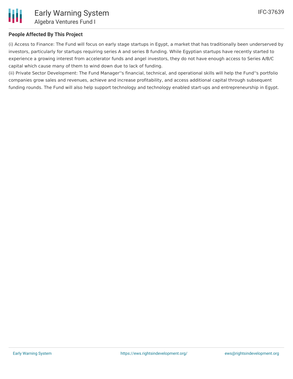

# **People Affected By This Project**

(i) Access to Finance: The Fund will focus on early stage startups in Egypt, a market that has traditionally been underserved by investors, particularly for startups requiring series A and series B funding. While Egyptian startups have recently started to experience a growing interest from accelerator funds and angel investors, they do not have enough access to Series A/B/C capital which cause many of them to wind down due to lack of funding.

(ii) Private Sector Development: The Fund Manager''s financial, technical, and operational skills will help the Fund''s portfolio companies grow sales and revenues, achieve and increase profitability, and access additional capital through subsequent funding rounds. The Fund will also help support technology and technology enabled start-ups and entrepreneurship in Egypt.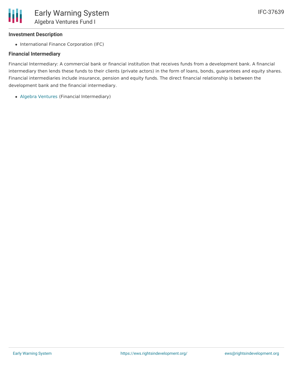#### **Investment Description**

• International Finance Corporation (IFC)

#### **Financial Intermediary**

Financial Intermediary: A commercial bank or financial institution that receives funds from a development bank. A financial intermediary then lends these funds to their clients (private actors) in the form of loans, bonds, guarantees and equity shares. Financial intermediaries include insurance, pension and equity funds. The direct financial relationship is between the development bank and the financial intermediary.

Algebra [Ventures](file:///actor/990/) (Financial Intermediary)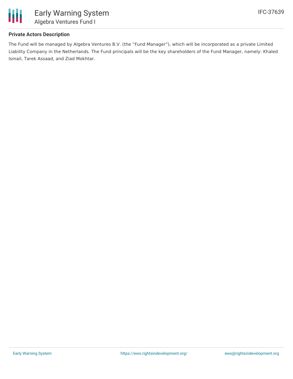

# **Private Actors Description**

The Fund will be managed by Algebra Ventures B.V. (the "Fund Manager"), which will be incorporated as a private Limited Liability Company in the Netherlands. The Fund principals will be the key shareholders of the Fund Manager, namely: Khaled Ismail, Tarek Assaad, and Ziad Mokhtar.